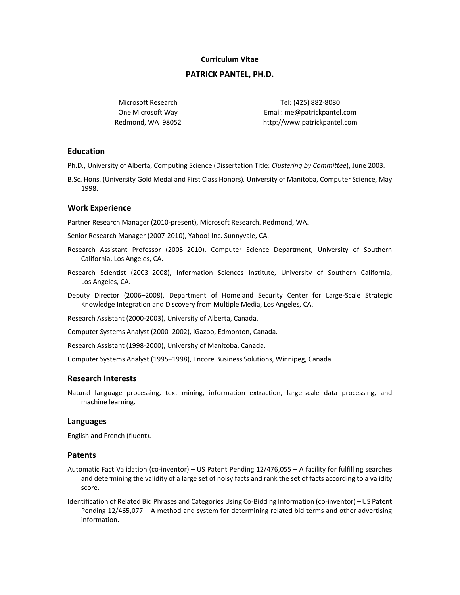# **Curriculum Vitae**

# **PATRICK PANTEL, PH.D.**

Microsoft Research One Microsoft Way Redmond, WA 98052

Tel: (425) 882-8080 Email: me@patrickpantel.com http://www.patrickpantel.com

# **Education**

Ph.D., University of Alberta, Computing Science (Dissertation Title: *Clustering by Committee*), June 2003.

B.Sc. Hons. (University Gold Medal and First Class Honors)*,* University of Manitoba, Computer Science, May 1998.

## **Work Experience**

Partner Research Manager (2010-present), Microsoft Research. Redmond, WA.

Senior Research Manager (2007-2010), Yahoo! Inc. Sunnyvale, CA.

- Research Assistant Professor (2005–2010), Computer Science Department, University of Southern California, Los Angeles, CA.
- Research Scientist (2003–2008), Information Sciences Institute, University of Southern California, Los Angeles, CA.
- Deputy Director (2006–2008), Department of Homeland Security Center for Large-Scale Strategic Knowledge Integration and Discovery from Multiple Media, Los Angeles, CA.

Research Assistant (2000-2003), University of Alberta, Canada.

Computer Systems Analyst (2000–2002), iGazoo, Edmonton, Canada.

Research Assistant (1998-2000), University of Manitoba, Canada.

Computer Systems Analyst (1995–1998), Encore Business Solutions, Winnipeg, Canada.

## **Research Interests**

Natural language processing, text mining, information extraction, large-scale data processing, and machine learning.

## **Languages**

English and French (fluent).

## **Patents**

- Automatic Fact Validation (co-inventor) US Patent Pending 12/476,055 A facility for fulfilling searches and determining the validity of a large set of noisy facts and rank the set of facts according to a validity score.
- Identification of Related Bid Phrases and Categories Using Co-Bidding Information (co-inventor) US Patent Pending 12/465,077 – A method and system for determining related bid terms and other advertising information.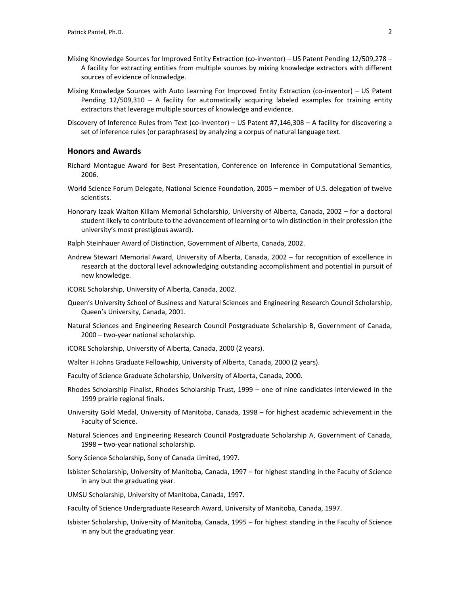- Mixing Knowledge Sources for Improved Entity Extraction (co-inventor) US Patent Pending 12/509,278 A facility for extracting entities from multiple sources by mixing knowledge extractors with different sources of evidence of knowledge.
- Mixing Knowledge Sources with Auto Learning For Improved Entity Extraction (co-inventor) US Patent Pending 12/509,310 – A facility for automatically acquiring labeled examples for training entity extractors that leverage multiple sources of knowledge and evidence.
- Discovery of Inference Rules from Text (co-inventor) US Patent #7,146,308 A facility for discovering a set of inference rules (or paraphrases) by analyzing a corpus of natural language text.

# **Honors and Awards**

- Richard Montague Award for Best Presentation, Conference on Inference in Computational Semantics, 2006.
- World Science Forum Delegate, National Science Foundation, 2005 member of U.S. delegation of twelve scientists.
- Honorary Izaak Walton Killam Memorial Scholarship, University of Alberta, Canada, 2002 for a doctoral student likely to contribute to the advancement of learning or to win distinction in their profession (the university's most prestigious award).

Ralph Steinhauer Award of Distinction, Government of Alberta, Canada, 2002.

- Andrew Stewart Memorial Award, University of Alberta, Canada, 2002 for recognition of excellence in research at the doctoral level acknowledging outstanding accomplishment and potential in pursuit of new knowledge.
- iCORE Scholarship, University of Alberta, Canada, 2002.
- Queen's University School of Business and Natural Sciences and Engineering Research Council Scholarship, Queen's University, Canada, 2001.
- Natural Sciences and Engineering Research Council Postgraduate Scholarship B, Government of Canada, 2000 – two-year national scholarship.
- iCORE Scholarship, University of Alberta, Canada, 2000 (2 years).
- Walter H Johns Graduate Fellowship, University of Alberta, Canada, 2000 (2 years).
- Faculty of Science Graduate Scholarship, University of Alberta, Canada, 2000.
- Rhodes Scholarship Finalist, Rhodes Scholarship Trust, 1999 one of nine candidates interviewed in the 1999 prairie regional finals.
- University Gold Medal, University of Manitoba, Canada, 1998 for highest academic achievement in the Faculty of Science.
- Natural Sciences and Engineering Research Council Postgraduate Scholarship A, Government of Canada, 1998 – two-year national scholarship.
- Sony Science Scholarship, Sony of Canada Limited, 1997.
- Isbister Scholarship, University of Manitoba, Canada, 1997 for highest standing in the Faculty of Science in any but the graduating year.
- UMSU Scholarship, University of Manitoba, Canada, 1997.

Faculty of Science Undergraduate Research Award, University of Manitoba, Canada, 1997.

Isbister Scholarship, University of Manitoba, Canada, 1995 – for highest standing in the Faculty of Science in any but the graduating year.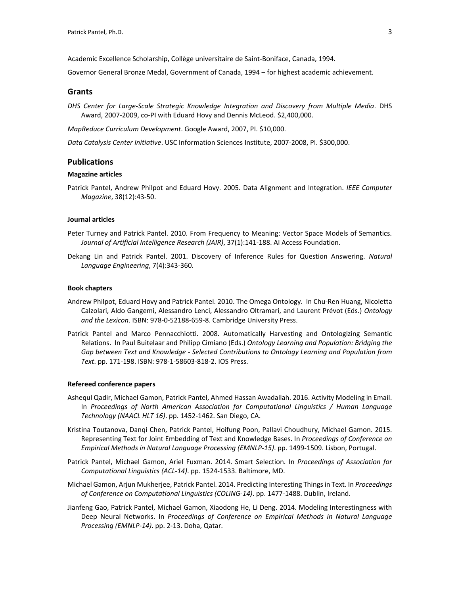Academic Excellence Scholarship, Collège universitaire de Saint-Boniface, Canada, 1994.

Governor General Bronze Medal, Government of Canada, 1994 – for highest academic achievement.

### **Grants**

*DHS Center for Large-Scale Strategic Knowledge Integration and Discovery from Multiple Media*. DHS Award, 2007-2009, co-PI with Eduard Hovy and Dennis McLeod. \$2,400,000.

*MapReduce Curriculum Development*. Google Award, 2007, PI. \$10,000.

*Data Catalysis Center Initiative*. USC Information Sciences Institute, 2007-2008, PI. \$300,000.

## **Publications**

## **Magazine articles**

Patrick Pantel, Andrew Philpot and Eduard Hovy. 2005. Data Alignment and Integration. *IEEE Computer Magazine*, 38(12):43-50.

#### **Journal articles**

- Peter Turney and Patrick Pantel. 2010. From Frequency to Meaning: Vector Space Models of Semantics. *Journal of Artificial Intelligence Research (JAIR)*, 37(1):141-188. AI Access Foundation.
- Dekang Lin and Patrick Pantel. 2001. Discovery of Inference Rules for Question Answering. *Natural Language Engineering*, 7(4):343-360.

#### **Book chapters**

- Andrew Philpot, Eduard Hovy and Patrick Pantel. 2010. The Omega Ontology. In Chu-Ren Huang, Nicoletta Calzolari, Aldo Gangemi, Alessandro Lenci, Alessandro Oltramari, and Laurent Prévot (Eds.) *Ontology and the Lexicon*. ISBN: 978-0-52188-659-8. Cambridge University Press.
- Patrick Pantel and Marco Pennacchiotti. 2008. Automatically Harvesting and Ontologizing Semantic Relations. In Paul Buitelaar and Philipp Cimiano (Eds.) *Ontology Learning and Population: Bridging the Gap between Text and Knowledge - Selected Contributions to Ontology Learning and Population from Text*. pp. 171-198. ISBN: 978-1-58603-818-2. IOS Press.

#### **Refereed conference papers**

- Ashequl Qadir, Michael Gamon, Patrick Pantel, Ahmed Hassan Awadallah. 2016. Activity Modeling in Email. In *Proceedings of North American Association for Computational Linguistics / Human Language Technology (NAACL HLT 16)*. pp. 1452-1462. San Diego, CA.
- Kristina Toutanova, Danqi Chen, Patrick Pantel, Hoifung Poon, Pallavi Choudhury, Michael Gamon. 2015. Representing Text for Joint Embedding of Text and Knowledge Bases. In *Proceedings of Conference on Empirical Methods in Natural Language Processing (EMNLP-15)*. pp. 1499-1509. Lisbon, Portugal.
- Patrick Pantel, Michael Gamon, Ariel Fuxman. 2014. Smart Selection. In *Proceedings of Association for Computational Linguistics (ACL-14)*. pp. 1524-1533. Baltimore, MD.
- Michael Gamon, Arjun Mukherjee, Patrick Pantel. 2014. Predicting Interesting Things in Text. In *Proceedings of Conference on Computational Linguistics (COLING-14)*. pp. 1477-1488. Dublin, Ireland.
- Jianfeng Gao, Patrick Pantel, Michael Gamon, Xiaodong He, Li Deng. 2014. Modeling Interestingness with Deep Neural Networks. In *Proceedings of Conference on Empirical Methods in Natural Language Processing (EMNLP-14)*. pp. 2-13. Doha, Qatar.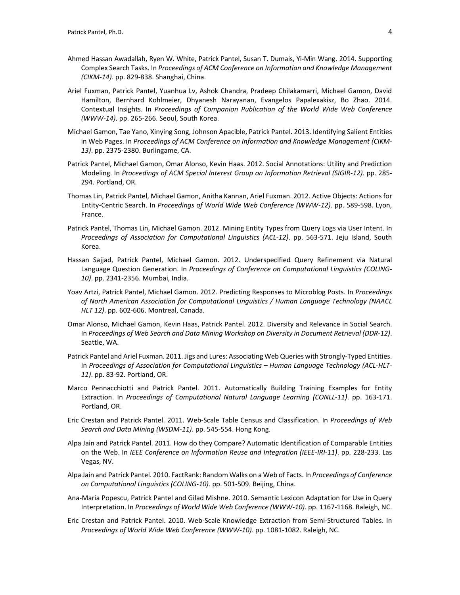- Ahmed Hassan Awadallah, Ryen W. White, Patrick Pantel, Susan T. Dumais, Yi-Min Wang. 2014. Supporting Complex Search Tasks. In *Proceedings of ACM Conference on Information and Knowledge Management (CIKM-14)*. pp. 829-838. Shanghai, China.
- Ariel Fuxman, Patrick Pantel, Yuanhua Lv, Ashok Chandra, Pradeep Chilakamarri, Michael Gamon, David Hamilton, Bernhard Kohlmeier, Dhyanesh Narayanan, Evangelos Papalexakisz, Bo Zhao. 2014. Contextual Insights. In *Proceedings of Companion Publication of the World Wide Web Conference (WWW-14)*. pp. 265-266. Seoul, South Korea.
- Michael Gamon, Tae Yano, Xinying Song, Johnson Apacible, Patrick Pantel. 2013. Identifying Salient Entities in Web Pages. In *Proceedings of ACM Conference on Information and Knowledge Management (CIKM-13)*. pp. 2375-2380. Burlingame, CA.
- Patrick Pantel, Michael Gamon, Omar Alonso, Kevin Haas. 2012. Social Annotations: Utility and Prediction Modeling. In *Proceedings of ACM Special Interest Group on Information Retrieval (SIGIR-12)*. pp. 285- 294. Portland, OR.
- Thomas Lin, Patrick Pantel, Michael Gamon, Anitha Kannan, Ariel Fuxman. 2012. Active Objects: Actions for Entity-Centric Search. In *Proceedings of World Wide Web Conference (WWW-12)*. pp. 589-598. Lyon, France.
- Patrick Pantel, Thomas Lin, Michael Gamon. 2012. Mining Entity Types from Query Logs via User Intent. In *Proceedings of Association for Computational Linguistics (ACL-12)*. pp. 563-571. Jeju Island, South Korea.
- Hassan Sajjad, Patrick Pantel, Michael Gamon. 2012. Underspecified Query Refinement via Natural Language Question Generation. In *Proceedings of Conference on Computational Linguistics (COLING-10)*. pp. 2341-2356. Mumbai, India.
- Yoav Artzi, Patrick Pantel, Michael Gamon. 2012. Predicting Responses to Microblog Posts. In *Proceedings of North American Association for Computational Linguistics / Human Language Technology (NAACL HLT 12)*. pp. 602-606. Montreal, Canada.
- Omar Alonso, Michael Gamon, Kevin Haas, Patrick Pantel. 2012. Diversity and Relevance in Social Search. In *Proceedings of Web Search and Data Mining Workshop on Diversity in Document Retrieval (DDR-12)*. Seattle, WA.
- Patrick Pantel and Ariel Fuxman. 2011. Jigs and Lures: Associating Web Queries with Strongly-Typed Entities. In *Proceedings of Association for Computational Linguistics – Human Language Technology (ACL-HLT-11)*. pp. 83-92. Portland, OR.
- Marco Pennacchiotti and Patrick Pantel. 2011. Automatically Building Training Examples for Entity Extraction. In *Proceedings of Computational Natural Language Learning (CONLL-11)*. pp. 163-171. Portland, OR.
- Eric Crestan and Patrick Pantel. 2011. Web-Scale Table Census and Classification. In *Proceedings of Web Search and Data Mining (WSDM-11)*. pp. 545-554. Hong Kong.
- Alpa Jain and Patrick Pantel. 2011. How do they Compare? Automatic Identification of Comparable Entities on the Web. In *IEEE Conference on Information Reuse and Integration (IEEE-IRI-11)*. pp. 228-233. Las Vegas, NV.
- Alpa Jain and Patrick Pantel. 2010. FactRank: Random Walks on a Web of Facts. In *Proceedings of Conference on Computational Linguistics (COLING-10)*. pp. 501-509. Beijing, China.
- Ana-Maria Popescu, Patrick Pantel and Gilad Mishne. 2010. Semantic Lexicon Adaptation for Use in Query Interpretation. In *Proceedings of World Wide Web Conference (WWW-10)*. pp. 1167-1168. Raleigh, NC.
- Eric Crestan and Patrick Pantel. 2010. Web-Scale Knowledge Extraction from Semi-Structured Tables. In *Proceedings of World Wide Web Conference (WWW-10)*. pp. 1081-1082. Raleigh, NC.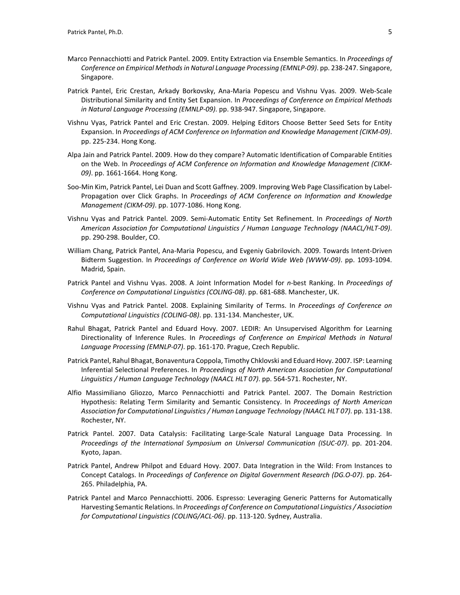- Marco Pennacchiotti and Patrick Pantel. 2009. Entity Extraction via Ensemble Semantics. In *Proceedings of Conference on Empirical Methods in Natural Language Processing (EMNLP-09)*. pp. 238-247. Singapore, Singapore.
- Patrick Pantel, Eric Crestan, Arkady Borkovsky, Ana-Maria Popescu and Vishnu Vyas. 2009. Web-Scale Distributional Similarity and Entity Set Expansion. In *Proceedings of Conference on Empirical Methods in Natural Language Processing (EMNLP-09)*. pp. 938-947. Singapore, Singapore.
- Vishnu Vyas, Patrick Pantel and Eric Crestan. 2009. Helping Editors Choose Better Seed Sets for Entity Expansion. In *Proceedings of ACM Conference on Information and Knowledge Management (CIKM-09)*. pp. 225-234. Hong Kong.
- Alpa Jain and Patrick Pantel. 2009. How do they compare? Automatic Identification of Comparable Entities on the Web. In *Proceedings of ACM Conference on Information and Knowledge Management (CIKM-09)*. pp. 1661-1664. Hong Kong.
- Soo-Min Kim, Patrick Pantel, Lei Duan and Scott Gaffney. 2009. Improving Web Page Classification by Label-Propagation over Click Graphs. In *Proceedings of ACM Conference on Information and Knowledge Management (CIKM-09)*. pp. 1077-1086. Hong Kong.
- Vishnu Vyas and Patrick Pantel. 2009. Semi-Automatic Entity Set Refinement. In *Proceedings of North American Association for Computational Linguistics / Human Language Technology (NAACL/HLT-09)*. pp. 290-298. Boulder, CO.
- William Chang, Patrick Pantel, Ana-Maria Popescu, and Evgeniy Gabrilovich. 2009. Towards Intent-Driven Bidterm Suggestion. In *Proceedings of Conference on World Wide Web (WWW-09)*. pp. 1093-1094. Madrid, Spain.
- Patrick Pantel and Vishnu Vyas. 2008. A Joint Information Model for *n*-best Ranking. In *Proceedings of Conference on Computational Linguistics (COLING-08)*. pp. 681-688. Manchester, UK.
- Vishnu Vyas and Patrick Pantel. 2008. Explaining Similarity of Terms. In *Proceedings of Conference on Computational Linguistics (COLING-08)*. pp. 131-134. Manchester, UK.
- Rahul Bhagat, Patrick Pantel and Eduard Hovy. 2007. LEDIR: An Unsupervised Algorithm for Learning Directionality of Inference Rules. In *Proceedings of Conference on Empirical Methods in Natural Language Processing (EMNLP-07)*. pp. 161-170. Prague, Czech Republic.
- Patrick Pantel, Rahul Bhagat, Bonaventura Coppola, Timothy Chklovski and Eduard Hovy. 2007. ISP: Learning Inferential Selectional Preferences. In *Proceedings of North American Association for Computational Linguistics / Human Language Technology (NAACL HLT 07)*. pp. 564-571. Rochester, NY.
- Alfio Massimiliano Gliozzo, Marco Pennacchiotti and Patrick Pantel. 2007. The Domain Restriction Hypothesis: Relating Term Similarity and Semantic Consistency. In *Proceedings of North American Association for Computational Linguistics / Human Language Technology (NAACL HLT 07)*. pp. 131-138. Rochester, NY.
- Patrick Pantel. 2007. Data Catalysis: Facilitating Large-Scale Natural Language Data Processing. In *Proceedings of the International Symposium on Universal Communication (ISUC-07)*. pp. 201-204. Kyoto, Japan.
- Patrick Pantel, Andrew Philpot and Eduard Hovy. 2007. Data Integration in the Wild: From Instances to Concept Catalogs. In *Proceedings of Conference on Digital Government Research (DG.O-07)*. pp. 264- 265. Philadelphia, PA.
- Patrick Pantel and Marco Pennacchiotti. 2006. Espresso: Leveraging Generic Patterns for Automatically Harvesting Semantic Relations. In *Proceedings of Conference on Computational Linguistics / Association for Computational Linguistics (COLING/ACL-06)*. pp. 113-120. Sydney, Australia.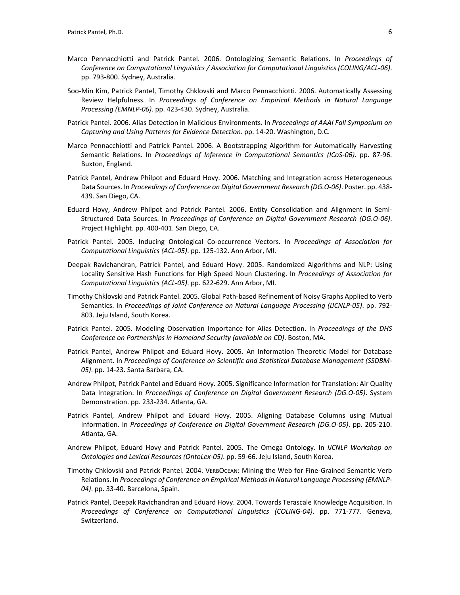- Marco Pennacchiotti and Patrick Pantel. 2006. Ontologizing Semantic Relations. In *Proceedings of Conference on Computational Linguistics / Association for Computational Linguistics (COLING/ACL-06)*. pp. 793-800. Sydney, Australia.
- Soo-Min Kim, Patrick Pantel, Timothy Chklovski and Marco Pennacchiotti. 2006. Automatically Assessing Review Helpfulness. In *Proceedings of Conference on Empirical Methods in Natural Language Processing (EMNLP-06)*. pp. 423-430. Sydney, Australia.
- Patrick Pantel. 2006. Alias Detection in Malicious Environments. In *Proceedings of AAAI Fall Symposium on Capturing and Using Patterns for Evidence Detection*. pp. 14-20. Washington, D.C.
- Marco Pennacchiotti and Patrick Pantel. 2006. A Bootstrapping Algorithm for Automatically Harvesting Semantic Relations. In *Proceedings of Inference in Computational Semantics (ICoS-06)*. pp. 87-96. Buxton, England.
- Patrick Pantel, Andrew Philpot and Eduard Hovy. 2006. Matching and Integration across Heterogeneous Data Sources. In *Proceedings of Conference on Digital Government Research (DG.O-06)*. Poster. pp. 438- 439. San Diego, CA.
- Eduard Hovy, Andrew Philpot and Patrick Pantel. 2006. Entity Consolidation and Alignment in Semi-Structured Data Sources. In *Proceedings of Conference on Digital Government Research (DG.O-06)*. Project Highlight. pp. 400-401. San Diego, CA.
- Patrick Pantel. 2005. Inducing Ontological Co-occurrence Vectors. In *Proceedings of Association for Computational Linguistics (ACL-05)*. pp. 125-132. Ann Arbor, MI.
- Deepak Ravichandran, Patrick Pantel, and Eduard Hovy. 2005. Randomized Algorithms and NLP: Using Locality Sensitive Hash Functions for High Speed Noun Clustering. In *Proceedings of Association for Computational Linguistics (ACL-05)*. pp. 622-629. Ann Arbor, MI.
- Timothy Chklovski and Patrick Pantel. 2005. Global Path-based Refinement of Noisy Graphs Applied to Verb Semantics. In *Proceedings of Joint Conference on Natural Language Processing (IJCNLP-05)*. pp. 792- 803. Jeju Island, South Korea.
- Patrick Pantel. 2005. Modeling Observation Importance for Alias Detection. In *Proceedings of the DHS Conference on Partnerships in Homeland Security (available on CD)*. Boston, MA.
- Patrick Pantel, Andrew Philpot and Eduard Hovy. 2005. An Information Theoretic Model for Database Alignment. In *Proceedings of Conference on Scientific and Statistical Database Management (SSDBM-05)*. pp. 14-23. Santa Barbara, CA.
- Andrew Philpot, Patrick Pantel and Eduard Hovy. 2005. Significance Information for Translation: Air Quality Data Integration. In *Proceedings of Conference on Digital Government Research (DG.O-05)*. System Demonstration. pp. 233-234. Atlanta, GA.
- Patrick Pantel, Andrew Philpot and Eduard Hovy. 2005. Aligning Database Columns using Mutual Information. In *Proceedings of Conference on Digital Government Research (DG.O-05)*. pp. 205-210. Atlanta, GA.
- Andrew Philpot, Eduard Hovy and Patrick Pantel. 2005. The Omega Ontology. In *IJCNLP Workshop on Ontologies and Lexical Resources (OntoLex-05)*. pp. 59-66. Jeju Island, South Korea.
- Timothy Chklovski and Patrick Pantel. 2004. VERBOCEAN: Mining the Web for Fine-Grained Semantic Verb Relations. In *Proceedings of Conference on Empirical Methods in Natural Language Processing (EMNLP-04)*. pp. 33-40. Barcelona, Spain.
- Patrick Pantel, Deepak Ravichandran and Eduard Hovy. 2004. Towards Terascale Knowledge Acquisition. In *Proceedings of Conference on Computational Linguistics (COLING-04)*. pp. 771-777. Geneva, Switzerland.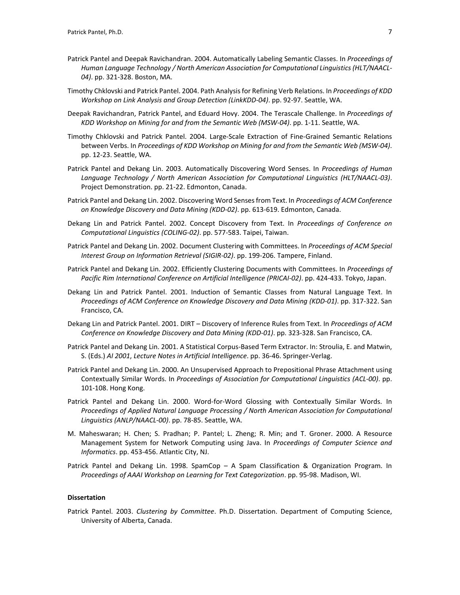- Patrick Pantel and Deepak Ravichandran. 2004. Automatically Labeling Semantic Classes. In *Proceedings of Human Language Technology / North American Association for Computational Linguistics (HLT/NAACL-04)*. pp. 321-328. Boston, MA.
- Timothy Chklovski and Patrick Pantel. 2004. Path Analysis for Refining Verb Relations. In *Proceedings of KDD Workshop on Link Analysis and Group Detection (LinkKDD-04)*. pp. 92-97. Seattle, WA.
- Deepak Ravichandran, Patrick Pantel, and Eduard Hovy. 2004. The Terascale Challenge. In *Proceedings of KDD Workshop on Mining for and from the Semantic Web (MSW-04)*. pp. 1-11. Seattle, WA.
- Timothy Chklovski and Patrick Pantel. 2004. Large-Scale Extraction of Fine-Grained Semantic Relations between Verbs. In *Proceedings of KDD Workshop on Mining for and from the Semantic Web (MSW-04)*. pp. 12-23. Seattle, WA.
- Patrick Pantel and Dekang Lin. 2003. Automatically Discovering Word Senses. In *Proceedings of Human Language Technology / North American Association for Computational Linguistics (HLT/NAACL-03)*. Project Demonstration. pp. 21-22. Edmonton, Canada.
- Patrick Pantel and Dekang Lin. 2002. Discovering Word Senses from Text. In *Proceedings of ACM Conference on Knowledge Discovery and Data Mining (KDD-02)*. pp. 613-619. Edmonton, Canada.
- Dekang Lin and Patrick Pantel. 2002. Concept Discovery from Text. In *Proceedings of Conference on Computational Linguistics (COLING-02)*. pp. 577-583. Taipei, Taiwan.
- Patrick Pantel and Dekang Lin. 2002. Document Clustering with Committees. In *Proceedings of ACM Special Interest Group on Information Retrieval (SIGIR-02)*. pp. 199-206. Tampere, Finland.
- Patrick Pantel and Dekang Lin. 2002. Efficiently Clustering Documents with Committees. In *Proceedings of Pacific Rim International Conference on Artificial Intelligence (PRICAI-02)*. pp. 424-433. Tokyo, Japan.
- Dekang Lin and Patrick Pantel. 2001. Induction of Semantic Classes from Natural Language Text. In *Proceedings of ACM Conference on Knowledge Discovery and Data Mining (KDD-01)*. pp. 317-322. San Francisco, CA.
- Dekang Lin and Patrick Pantel. 2001. DIRT Discovery of Inference Rules from Text. In *Proceedings of ACM Conference on Knowledge Discovery and Data Mining (KDD-01)*. pp. 323-328. San Francisco, CA.
- Patrick Pantel and Dekang Lin. 2001. A Statistical Corpus-Based Term Extractor. In: Stroulia, E. and Matwin, S. (Eds.) *AI 2001*, *Lecture Notes in Artificial Intelligence*. pp. 36-46. Springer-Verlag.
- Patrick Pantel and Dekang Lin. 2000. An Unsupervised Approach to Prepositional Phrase Attachment using Contextually Similar Words. In *Proceedings of Association for Computational Linguistics (ACL-00)*. pp. 101-108. Hong Kong.
- Patrick Pantel and Dekang Lin. 2000. Word-for-Word Glossing with Contextually Similar Words. In *Proceedings of Applied Natural Language Processing / North American Association for Computational Linguistics (ANLP/NAACL-00)*. pp. 78-85. Seattle, WA.
- M. Maheswaran; H. Chen; S. Pradhan; P. Pantel; L. Zheng; R. Min; and T. Groner. 2000. A Resource Management System for Network Computing using Java. In *Proceedings of Computer Science and Informatics*. pp. 453-456. Atlantic City, NJ.
- Patrick Pantel and Dekang Lin. 1998. SpamCop A Spam Classification & Organization Program. In *Proceedings of AAAI Workshop on Learning for Text Categorization*. pp. 95-98. Madison, WI.

## **Dissertation**

Patrick Pantel. 2003. *Clustering by Committee*. Ph.D. Dissertation. Department of Computing Science, University of Alberta, Canada.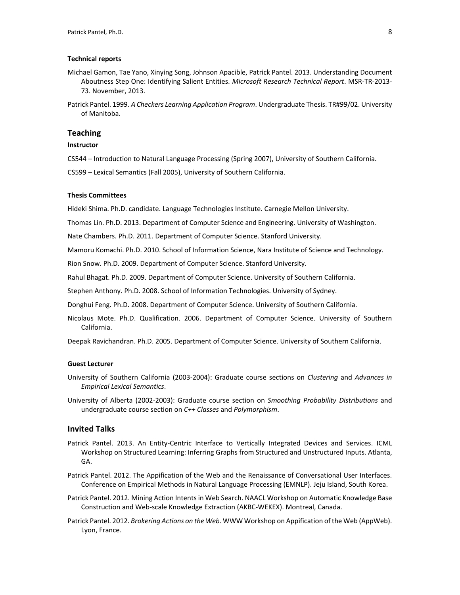### **Technical reports**

- Michael Gamon, Tae Yano, Xinying Song, Johnson Apacible, Patrick Pantel. 2013. Understanding Document Aboutness Step One: Identifying Salient Entities. *Microsoft Research Technical Report*. MSR-TR-2013- 73. November, 2013.
- Patrick Pantel. 1999. *A Checkers Learning Application Program*. Undergraduate Thesis. TR#99/02. University of Manitoba.

# **Teaching**

## **Instructor**

- CS544 Introduction to Natural Language Processing (Spring 2007), University of Southern California.
- CS599 Lexical Semantics (Fall 2005), University of Southern California.

# **Thesis Committees**

Hideki Shima. Ph.D. candidate. Language Technologies Institute. Carnegie Mellon University.

Thomas Lin. Ph.D. 2013. Department of Computer Science and Engineering. University of Washington.

Nate Chambers. Ph.D. 2011. Department of Computer Science. Stanford University.

Mamoru Komachi. Ph.D. 2010. School of Information Science, Nara Institute of Science and Technology.

Rion Snow. Ph.D. 2009. Department of Computer Science. Stanford University.

Rahul Bhagat. Ph.D. 2009. Department of Computer Science. University of Southern California.

Stephen Anthony. Ph.D. 2008. School of Information Technologies. University of Sydney.

Donghui Feng. Ph.D. 2008. Department of Computer Science. University of Southern California.

Nicolaus Mote. Ph.D. Qualification. 2006. Department of Computer Science. University of Southern California.

Deepak Ravichandran. Ph.D. 2005. Department of Computer Science. University of Southern California.

### **Guest Lecturer**

- University of Southern California (2003-2004): Graduate course sections on *Clustering* and *Advances in Empirical Lexical Semantics*.
- University of Alberta (2002-2003): Graduate course section on *Smoothing Probability Distributions* and undergraduate course section on *C++ Classes* and *Polymorphism*.

### **Invited Talks**

- Patrick Pantel. 2013. An Entity-Centric Interface to Vertically Integrated Devices and Services. ICML Workshop on Structured Learning: Inferring Graphs from Structured and Unstructured Inputs. Atlanta, GA.
- Patrick Pantel. 2012. The Appification of the Web and the Renaissance of Conversational User Interfaces. Conference on Empirical Methods in Natural Language Processing (EMNLP). Jeju Island, South Korea.
- Patrick Pantel. 2012. Mining Action Intents in Web Search. NAACL Workshop on Automatic Knowledge Base Construction and Web-scale Knowledge Extraction (AKBC-WEKEX). Montreal, Canada.
- Patrick Pantel. 2012. *Brokering Actions on the Web*. WWW Workshop on Appification of the Web (AppWeb). Lyon, France.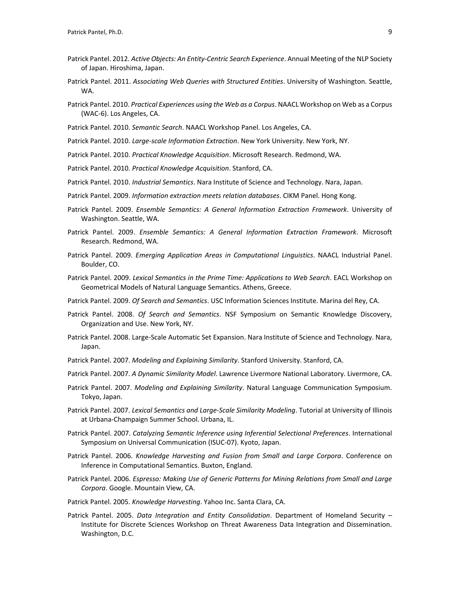- Patrick Pantel. 2012. *Active Objects: An Entity-Centric Search Experience*. Annual Meeting of the NLP Society of Japan. Hiroshima, Japan.
- Patrick Pantel. 2011. *Associating Web Queries with Structured Entities*. University of Washington. Seattle, WA.
- Patrick Pantel. 2010. *Practical Experiences using the Web as a Corpus*. NAACL Workshop on Web as a Corpus (WAC-6). Los Angeles, CA.
- Patrick Pantel. 2010. *Semantic Search*. NAACL Workshop Panel. Los Angeles, CA.
- Patrick Pantel. 2010. *Large-scale Information Extraction*. New York University. New York, NY.
- Patrick Pantel. 2010. *Practical Knowledge Acquisition*. Microsoft Research. Redmond, WA.
- Patrick Pantel. 2010. *Practical Knowledge Acquisition*. Stanford, CA.
- Patrick Pantel. 2010. *Industrial Semantics*. Nara Institute of Science and Technology. Nara, Japan.
- Patrick Pantel. 2009. *Information extraction meets relation databases*. CIKM Panel. Hong Kong.
- Patrick Pantel. 2009. *Ensemble Semantics: A General Information Extraction Framework*. University of Washington. Seattle, WA.
- Patrick Pantel. 2009. *Ensemble Semantics: A General Information Extraction Framework*. Microsoft Research. Redmond, WA.
- Patrick Pantel. 2009. *Emerging Application Areas in Computational Linguistics*. NAACL Industrial Panel. Boulder, CO.
- Patrick Pantel. 2009. *Lexical Semantics in the Prime Time: Applications to Web Search*. EACL Workshop on Geometrical Models of Natural Language Semantics. Athens, Greece.
- Patrick Pantel. 2009. *Of Search and Semantics*. USC Information Sciences Institute. Marina del Rey, CA.
- Patrick Pantel. 2008. *Of Search and Semantics*. NSF Symposium on Semantic Knowledge Discovery, Organization and Use. New York, NY.
- Patrick Pantel. 2008. Large-Scale Automatic Set Expansion. Nara Institute of Science and Technology. Nara, Japan.
- Patrick Pantel. 2007. *Modeling and Explaining Similarity*. Stanford University. Stanford, CA.
- Patrick Pantel. 2007. *A Dynamic Similarity Model*. Lawrence Livermore National Laboratory. Livermore, CA.
- Patrick Pantel. 2007. *Modeling and Explaining Similarity*. Natural Language Communication Symposium. Tokyo, Japan.
- Patrick Pantel. 2007. *Lexical Semantics and Large-Scale Similarity Modeling*. Tutorial at University of Illinois at Urbana-Champaign Summer School. Urbana, IL.
- Patrick Pantel. 2007. *Catalyzing Semantic Inference using Inferential Selectional Preferences*. International Symposium on Universal Communication (ISUC-07). Kyoto, Japan.
- Patrick Pantel. 2006. *Knowledge Harvesting and Fusion from Small and Large Corpora*. Conference on Inference in Computational Semantics. Buxton, England.
- Patrick Pantel. 2006. *Espresso: Making Use of Generic Patterns for Mining Relations from Small and Large Corpora*. Google. Mountain View, CA.
- Patrick Pantel. 2005. *Knowledge Harvesting*. Yahoo Inc. Santa Clara, CA.
- Patrick Pantel. 2005. *Data Integration and Entity Consolidation*. Department of Homeland Security Institute for Discrete Sciences Workshop on Threat Awareness Data Integration and Dissemination. Washington, D.C.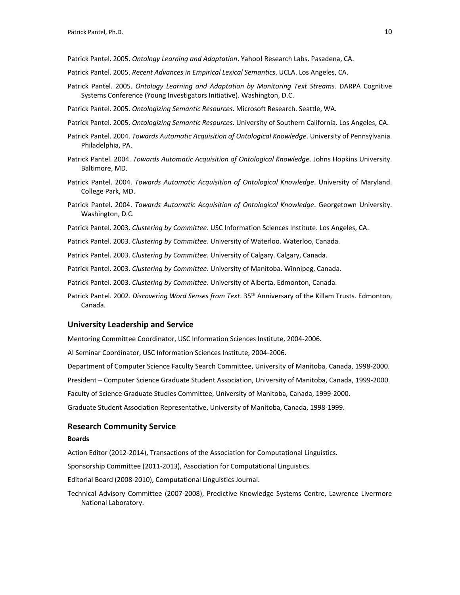Patrick Pantel. 2005. *Ontology Learning and Adaptation*. Yahoo! Research Labs. Pasadena, CA.

- Patrick Pantel. 2005. *Recent Advances in Empirical Lexical Semantics*. UCLA. Los Angeles, CA.
- Patrick Pantel. 2005. *Ontology Learning and Adaptation by Monitoring Text Streams*. DARPA Cognitive Systems Conference (Young Investigators Initiative). Washington, D.C.
- Patrick Pantel. 2005. *Ontologizing Semantic Resources*. Microsoft Research. Seattle, WA.
- Patrick Pantel. 2005. *Ontologizing Semantic Resources*. University of Southern California. Los Angeles, CA.
- Patrick Pantel. 2004. *Towards Automatic Acquisition of Ontological Knowledge*. University of Pennsylvania. Philadelphia, PA.
- Patrick Pantel. 2004. *Towards Automatic Acquisition of Ontological Knowledge*. Johns Hopkins University. Baltimore, MD.
- Patrick Pantel. 2004. *Towards Automatic Acquisition of Ontological Knowledge*. University of Maryland. College Park, MD.
- Patrick Pantel. 2004. *Towards Automatic Acquisition of Ontological Knowledge*. Georgetown University. Washington, D.C.
- Patrick Pantel. 2003. *Clustering by Committee*. USC Information Sciences Institute. Los Angeles, CA.
- Patrick Pantel. 2003. *Clustering by Committee*. University of Waterloo. Waterloo, Canada.
- Patrick Pantel. 2003. *Clustering by Committee*. University of Calgary. Calgary, Canada.
- Patrick Pantel. 2003. *Clustering by Committee*. University of Manitoba. Winnipeg, Canada.
- Patrick Pantel. 2003. *Clustering by Committee*. University of Alberta. Edmonton, Canada.
- Patrick Pantel. 2002. *Discovering Word Senses from Text*. 35th Anniversary of the Killam Trusts. Edmonton, Canada.

#### **University Leadership and Service**

Mentoring Committee Coordinator, USC Information Sciences Institute, 2004-2006.

AI Seminar Coordinator, USC Information Sciences Institute, 2004-2006.

- Department of Computer Science Faculty Search Committee, University of Manitoba, Canada, 1998-2000.
- President Computer Science Graduate Student Association, University of Manitoba, Canada, 1999-2000.

Faculty of Science Graduate Studies Committee, University of Manitoba, Canada, 1999-2000.

Graduate Student Association Representative, University of Manitoba, Canada, 1998-1999.

## **Research Community Service**

#### **Boards**

Action Editor (2012-2014), Transactions of the Association for Computational Linguistics.

Sponsorship Committee (2011-2013), Association for Computational Linguistics.

Editorial Board (2008-2010), Computational Linguistics Journal.

Technical Advisory Committee (2007-2008), Predictive Knowledge Systems Centre, Lawrence Livermore National Laboratory.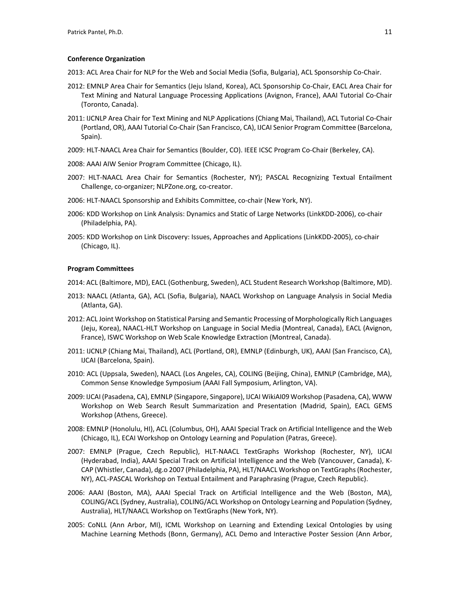### **Conference Organization**

2013: ACL Area Chair for NLP for the Web and Social Media (Sofia, Bulgaria), ACL Sponsorship Co-Chair.

- 2012: EMNLP Area Chair for Semantics (Jeju Island, Korea), ACL Sponsorship Co-Chair, EACL Area Chair for Text Mining and Natural Language Processing Applications (Avignon, France), AAAI Tutorial Co-Chair (Toronto, Canada).
- 2011: IJCNLP Area Chair for Text Mining and NLP Applications (Chiang Mai, Thailand), ACL Tutorial Co-Chair (Portland, OR), AAAI Tutorial Co-Chair (San Francisco, CA), IJCAI Senior Program Committee (Barcelona, Spain).
- 2009: HLT-NAACL Area Chair for Semantics (Boulder, CO). IEEE ICSC Program Co-Chair (Berkeley, CA).
- 2008: AAAI AIW Senior Program Committee (Chicago, IL).
- 2007: HLT-NAACL Area Chair for Semantics (Rochester, NY); PASCAL Recognizing Textual Entailment Challenge, co-organizer; NLPZone.org, co-creator.
- 2006: HLT-NAACL Sponsorship and Exhibits Committee, co-chair (New York, NY).
- 2006: KDD Workshop on Link Analysis: Dynamics and Static of Large Networks (LinkKDD-2006), co-chair (Philadelphia, PA).
- 2005: KDD Workshop on Link Discovery: Issues, Approaches and Applications (LinkKDD-2005), co-chair (Chicago, IL).

### **Program Committees**

2014: ACL (Baltimore, MD), EACL (Gothenburg, Sweden), ACL Student Research Workshop (Baltimore, MD).

- 2013: NAACL (Atlanta, GA), ACL (Sofia, Bulgaria), NAACL Workshop on Language Analysis in Social Media (Atlanta, GA).
- 2012: ACL Joint Workshop on Statistical Parsing and Semantic Processing of Morphologically Rich Languages (Jeju, Korea), NAACL-HLT Workshop on Language in Social Media (Montreal, Canada), EACL (Avignon, France), ISWC Workshop on Web Scale Knowledge Extraction (Montreal, Canada).
- 2011: IJCNLP (Chiang Mai, Thailand), ACL (Portland, OR), EMNLP (Edinburgh, UK), AAAI (San Francisco, CA), IJCAI (Barcelona, Spain).
- 2010: ACL (Uppsala, Sweden), NAACL (Los Angeles, CA), COLING (Beijing, China), EMNLP (Cambridge, MA), Common Sense Knowledge Symposium (AAAI Fall Symposium, Arlington, VA).
- 2009: IJCAI (Pasadena, CA), EMNLP (Singapore, Singapore), IJCAI WikiAI09 Workshop (Pasadena, CA), WWW Workshop on Web Search Result Summarization and Presentation (Madrid, Spain), EACL GEMS Workshop (Athens, Greece).
- 2008: EMNLP (Honolulu, HI), ACL (Columbus, OH), AAAI Special Track on Artificial Intelligence and the Web (Chicago, IL), ECAI Workshop on Ontology Learning and Population (Patras, Greece).
- 2007: EMNLP (Prague, Czech Republic), HLT-NAACL TextGraphs Workshop (Rochester, NY), IJCAI (Hyderabad, India), AAAI Special Track on Artificial Intelligence and the Web (Vancouver, Canada), K-CAP (Whistler, Canada), dg.o 2007 (Philadelphia, PA), HLT/NAACL Workshop on TextGraphs (Rochester, NY), ACL-PASCAL Workshop on Textual Entailment and Paraphrasing (Prague, Czech Republic).
- 2006: AAAI (Boston, MA), AAAI Special Track on Artificial Intelligence and the Web (Boston, MA), COLING/ACL (Sydney, Australia), COLING/ACL Workshop on Ontology Learning and Population (Sydney, Australia), HLT/NAACL Workshop on TextGraphs (New York, NY).
- 2005: CoNLL (Ann Arbor, MI), ICML Workshop on Learning and Extending Lexical Ontologies by using Machine Learning Methods (Bonn, Germany), ACL Demo and Interactive Poster Session (Ann Arbor,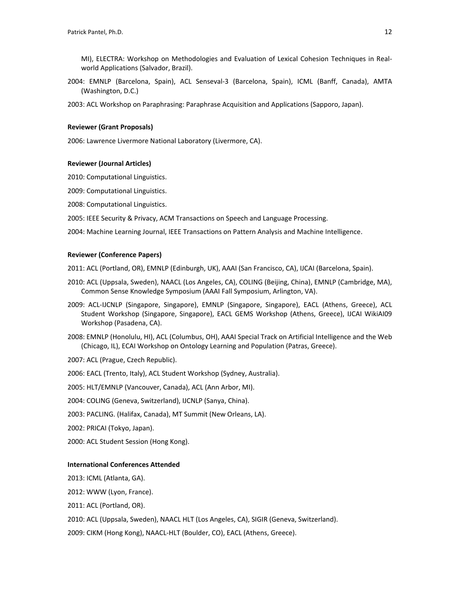MI), ELECTRA: Workshop on Methodologies and Evaluation of Lexical Cohesion Techniques in Realworld Applications (Salvador, Brazil).

2004: EMNLP (Barcelona, Spain), ACL Senseval-3 (Barcelona, Spain), ICML (Banff, Canada), AMTA (Washington, D.C.)

2003: ACL Workshop on Paraphrasing: Paraphrase Acquisition and Applications (Sapporo, Japan).

### **Reviewer (Grant Proposals)**

2006: Lawrence Livermore National Laboratory (Livermore, CA).

#### **Reviewer (Journal Articles)**

- 2010: Computational Linguistics.
- 2009: Computational Linguistics.
- 2008: Computational Linguistics.
- 2005: IEEE Security & Privacy, ACM Transactions on Speech and Language Processing.

2004: Machine Learning Journal, IEEE Transactions on Pattern Analysis and Machine Intelligence.

### **Reviewer (Conference Papers)**

2011: ACL (Portland, OR), EMNLP (Edinburgh, UK), AAAI (San Francisco, CA), IJCAI (Barcelona, Spain).

- 2010: ACL (Uppsala, Sweden), NAACL (Los Angeles, CA), COLING (Beijing, China), EMNLP (Cambridge, MA), Common Sense Knowledge Symposium (AAAI Fall Symposium, Arlington, VA).
- 2009: ACL-IJCNLP (Singapore, Singapore), EMNLP (Singapore, Singapore), EACL (Athens, Greece), ACL Student Workshop (Singapore, Singapore), EACL GEMS Workshop (Athens, Greece), IJCAI WikiAI09 Workshop (Pasadena, CA).
- 2008: EMNLP (Honolulu, HI), ACL (Columbus, OH), AAAI Special Track on Artificial Intelligence and the Web (Chicago, IL), ECAI Workshop on Ontology Learning and Population (Patras, Greece).
- 2007: ACL (Prague, Czech Republic).
- 2006: EACL (Trento, Italy), ACL Student Workshop (Sydney, Australia).
- 2005: HLT/EMNLP (Vancouver, Canada), ACL (Ann Arbor, MI).
- 2004: COLING (Geneva, Switzerland), IJCNLP (Sanya, China).
- 2003: PACLING. (Halifax, Canada), MT Summit (New Orleans, LA).
- 2002: PRICAI (Tokyo, Japan).
- 2000: ACL Student Session (Hong Kong).

### **International Conferences Attended**

2013: ICML (Atlanta, GA).

2012: WWW (Lyon, France).

2011: ACL (Portland, OR).

2010: ACL (Uppsala, Sweden), NAACL HLT (Los Angeles, CA), SIGIR (Geneva, Switzerland).

2009: CIKM (Hong Kong), NAACL-HLT (Boulder, CO), EACL (Athens, Greece).